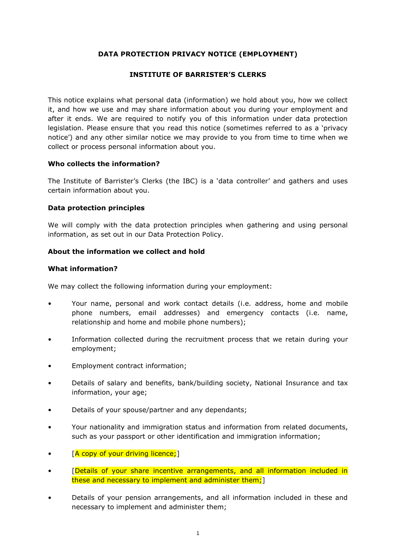# **DATA PROTECTION PRIVACY NOTICE (EMPLOYMENT)**

## **INSTITUTE OF BARRISTER'S CLERKS**

This notice explains what personal data (information) we hold about you, how we collect it, and how we use and may share information about you during your employment and after it ends. We are required to notify you of this information under data protection legislation. Please ensure that you read this notice (sometimes referred to as a 'privacy notice') and any other similar notice we may provide to you from time to time when we collect or process personal information about you.

## **Who collects the information?**

The Institute of Barrister's Clerks (the IBC) is a 'data controller' and gathers and uses certain information about you.

## **Data protection principles**

We will comply with the data protection principles when gathering and using personal information, as set out in our Data Protection Policy.

## **About the information we collect and hold**

## **What information?**

We may collect the following information during your employment:

- Your name, personal and work contact details (i.e. address, home and mobile phone numbers, email addresses) and emergency contacts (i.e. name, relationship and home and mobile phone numbers);
- Information collected during the recruitment process that we retain during your employment;
- Employment contract information;
- Details of salary and benefits, bank/building society, National Insurance and tax information, your age;
- Details of your spouse/partner and any dependants;
- Your nationality and immigration status and information from related documents, such as your passport or other identification and immigration information;
- [A copy of your driving licence;]
- [Details of your share incentive arrangements, and all information included in these and necessary to implement and administer them;]
- Details of your pension arrangements, and all information included in these and necessary to implement and administer them;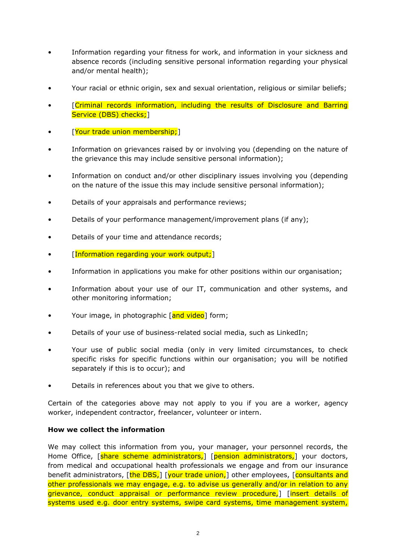- Information regarding your fitness for work, and information in your sickness and absence records (including sensitive personal information regarding your physical and/or mental health);
- Your racial or ethnic origin, sex and sexual orientation, religious or similar beliefs;
- [Criminal records information, including the results of Disclosure and Barring Service (DBS) checks; 1
- **[Your trade union membership;**]
- Information on grievances raised by or involving you (depending on the nature of the grievance this may include sensitive personal information);
- Information on conduct and/or other disciplinary issues involving you (depending on the nature of the issue this may include sensitive personal information);
- Details of your appraisals and performance reviews;
- Details of your performance management/improvement plans (if any);
- Details of your time and attendance records;
- *[Information regarding your work output;]*
- Information in applications you make for other positions within our organisation;
- Information about your use of our IT, communication and other systems, and other monitoring information;
- Your image, in photographic [and video] form;
- Details of your use of business-related social media, such as LinkedIn;
- Your use of public social media (only in very limited circumstances, to check specific risks for specific functions within our organisation; you will be notified separately if this is to occur); and
- Details in references about you that we give to others.

Certain of the categories above may not apply to you if you are a worker, agency worker, independent contractor, freelancer, volunteer or intern.

## **How we collect the information**

We may collect this information from you, your manager, your personnel records, the Home Office, [share scheme administrators,] [pension administrators,] your doctors, from medical and occupational health professionals we engage and from our insurance benefit administrators, [the DBS,] [your trade union,] other employees, [consultants and other professionals we may engage, e.g. to advise us generally and/or in relation to any grievance, conduct appraisal or performance review procedure,] [insert details of systems used e.g. door entry systems, swipe card systems, time management system,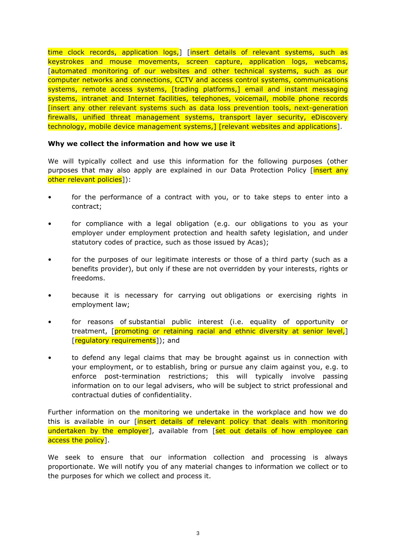time clock records, application logs,] [insert details of relevant systems, such as keystrokes and mouse movements, screen capture, application logs, webcams, [automated monitoring of our websites and other technical systems, such as our computer networks and connections, CCTV and access control systems, communications systems, remote access systems, [trading platforms,] email and instant messaging systems, intranet and Internet facilities, telephones, voicemail, mobile phone records [insert any other relevant systems such as data loss prevention tools, next-generation firewalls, unified threat management systems, transport layer security, eDiscovery technology, mobile device management systems, I [relevant websites and applications].

#### **Why we collect the information and how we use it**

We will typically collect and use this information for the following purposes (other purposes that may also apply are explained in our Data Protection Policy [insert any other relevant policies]):

- for the performance of a contract with you, or to take steps to enter into a contract;
- for compliance with a legal obligation (e.g. our obligations to you as your employer under employment protection and health safety legislation, and under statutory codes of practice, such as those issued by Acas);
- for the purposes of our legitimate interests or those of a third party (such as a benefits provider), but only if these are not overridden by your interests, rights or freedoms.
- because it is necessary for carrying out obligations or exercising rights in employment law;
- for reasons of substantial public interest (i.e. equality of opportunity or treatment, [promoting or retaining racial and ethnic diversity at senior level,] [regulatory requirements]); and
- to defend any legal claims that may be brought against us in connection with your employment, or to establish, bring or pursue any claim against you, e.g. to enforce post-termination restrictions; this will typically involve passing information on to our legal advisers, who will be subject to strict professional and contractual duties of confidentiality.

Further information on the monitoring we undertake in the workplace and how we do this is available in our *[insert details of relevant policy that deals with monitoring* undertaken by the employer], available from [set out details of how employee can access the policy].

We seek to ensure that our information collection and processing is always proportionate. We will notify you of any material changes to information we collect or to the purposes for which we collect and process it.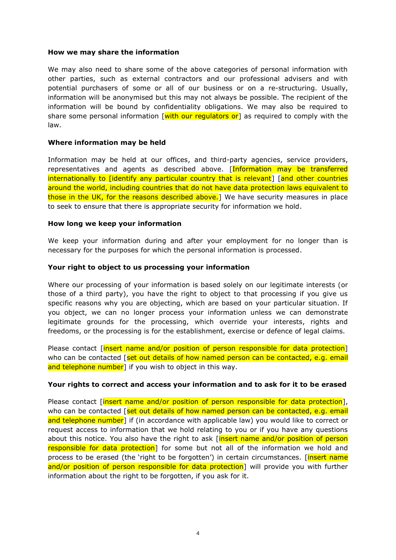#### **How we may share the information**

We may also need to share some of the above categories of personal information with other parties, such as external contractors and our professional advisers and with potential purchasers of some or all of our business or on a re-structuring. Usually, information will be anonymised but this may not always be possible. The recipient of the information will be bound by confidentiality obligations. We may also be required to share some personal information  $\sqrt{w}$  with our regulators or as required to comply with the law.

#### **Where information may be held**

Information may be held at our offices, and third-party agencies, service providers, representatives and agents as described above. [Information may be transferred internationally to [identify any particular country that is relevant] [and other countries around the world, including countries that do not have data protection laws equivalent to those in the UK, for the reasons described above.] We have security measures in place to seek to ensure that there is appropriate security for information we hold.

## **How long we keep your information**

We keep your information during and after your employment for no longer than is necessary for the purposes for which the personal information is processed.

## **Your right to object to us processing your information**

Where our processing of your information is based solely on our legitimate interests (or those of a third party), you have the right to object to that processing if you give us specific reasons why you are objecting, which are based on your particular situation. If you object, we can no longer process your information unless we can demonstrate legitimate grounds for the processing, which override your interests, rights and freedoms, or the processing is for the establishment, exercise or defence of legal claims.

Please contact [insert name and/or position of person responsible for data protection] who can be contacted  $\sqrt{\frac{set}}$  out details of how named person can be contacted, e.g. email and telephone number] if you wish to object in this way.

#### **Your rights to correct and access your information and to ask for it to be erased**

Please contact [insert name and/or position of person responsible for data protection], who can be contacted  $\sqrt{\frac{\text{set out details of how named person can be contracted, e.g. email}}$ and telephone number] if (in accordance with applicable law) you would like to correct or request access to information that we hold relating to you or if you have any questions about this notice. You also have the right to ask [insert name and/or position of person responsible for data protection] for some but not all of the information we hold and process to be erased (the 'right to be forgotten') in certain circumstances. [insert name and/or position of person responsible for data protection] will provide you with further information about the right to be forgotten, if you ask for it.